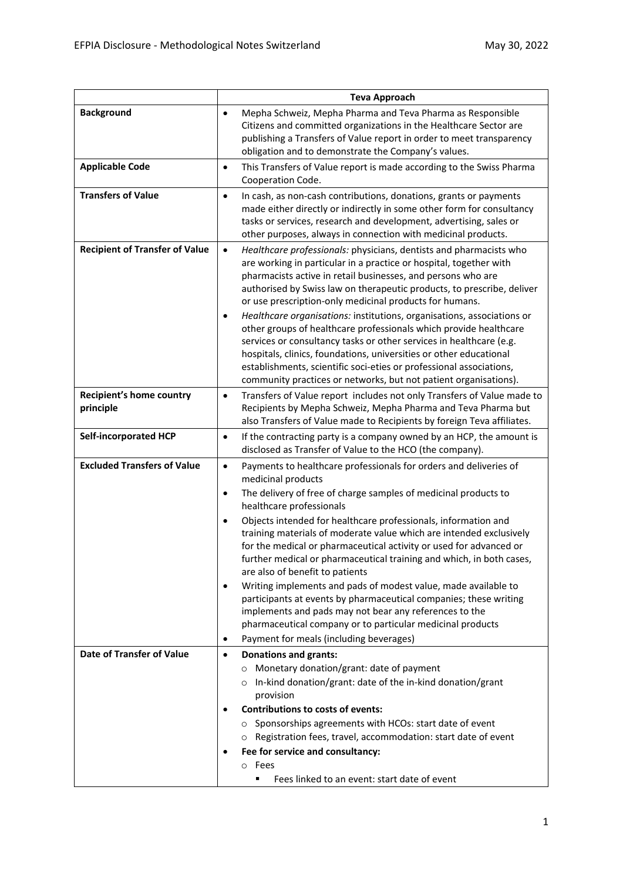|                                              | <b>Teva Approach</b>                                                                                                                                                                                                                                                                                                                                                                                                                                                                                                                                                                                                                                                                                                                                                                                           |
|----------------------------------------------|----------------------------------------------------------------------------------------------------------------------------------------------------------------------------------------------------------------------------------------------------------------------------------------------------------------------------------------------------------------------------------------------------------------------------------------------------------------------------------------------------------------------------------------------------------------------------------------------------------------------------------------------------------------------------------------------------------------------------------------------------------------------------------------------------------------|
| <b>Background</b>                            | Mepha Schweiz, Mepha Pharma and Teva Pharma as Responsible<br>$\bullet$<br>Citizens and committed organizations in the Healthcare Sector are<br>publishing a Transfers of Value report in order to meet transparency<br>obligation and to demonstrate the Company's values.                                                                                                                                                                                                                                                                                                                                                                                                                                                                                                                                    |
| <b>Applicable Code</b>                       | This Transfers of Value report is made according to the Swiss Pharma<br>$\bullet$<br>Cooperation Code.                                                                                                                                                                                                                                                                                                                                                                                                                                                                                                                                                                                                                                                                                                         |
| <b>Transfers of Value</b>                    | In cash, as non-cash contributions, donations, grants or payments<br>$\bullet$<br>made either directly or indirectly in some other form for consultancy<br>tasks or services, research and development, advertising, sales or<br>other purposes, always in connection with medicinal products.                                                                                                                                                                                                                                                                                                                                                                                                                                                                                                                 |
| <b>Recipient of Transfer of Value</b>        | $\bullet$<br>Healthcare professionals: physicians, dentists and pharmacists who<br>are working in particular in a practice or hospital, together with<br>pharmacists active in retail businesses, and persons who are<br>authorised by Swiss law on therapeutic products, to prescribe, deliver<br>or use prescription-only medicinal products for humans.<br>Healthcare organisations: institutions, organisations, associations or<br>$\bullet$<br>other groups of healthcare professionals which provide healthcare<br>services or consultancy tasks or other services in healthcare (e.g.<br>hospitals, clinics, foundations, universities or other educational<br>establishments, scientific soci-eties or professional associations,<br>community practices or networks, but not patient organisations). |
| <b>Recipient's home country</b><br>principle | Transfers of Value report includes not only Transfers of Value made to<br>$\bullet$<br>Recipients by Mepha Schweiz, Mepha Pharma and Teva Pharma but<br>also Transfers of Value made to Recipients by foreign Teva affiliates.                                                                                                                                                                                                                                                                                                                                                                                                                                                                                                                                                                                 |
| <b>Self-incorporated HCP</b>                 | If the contracting party is a company owned by an HCP, the amount is<br>$\bullet$<br>disclosed as Transfer of Value to the HCO (the company).                                                                                                                                                                                                                                                                                                                                                                                                                                                                                                                                                                                                                                                                  |
| <b>Excluded Transfers of Value</b>           | Payments to healthcare professionals for orders and deliveries of<br>$\bullet$<br>medicinal products<br>The delivery of free of charge samples of medicinal products to<br>$\bullet$                                                                                                                                                                                                                                                                                                                                                                                                                                                                                                                                                                                                                           |
|                                              | healthcare professionals<br>Objects intended for healthcare professionals, information and<br>$\bullet$<br>training materials of moderate value which are intended exclusively<br>for the medical or pharmaceutical activity or used for advanced or<br>further medical or pharmaceutical training and which, in both cases,<br>are also of benefit to patients                                                                                                                                                                                                                                                                                                                                                                                                                                                |
|                                              | Writing implements and pads of modest value, made available to<br>participants at events by pharmaceutical companies; these writing<br>implements and pads may not bear any references to the<br>pharmaceutical company or to particular medicinal products                                                                                                                                                                                                                                                                                                                                                                                                                                                                                                                                                    |
|                                              | Payment for meals (including beverages)<br>$\bullet$                                                                                                                                                                                                                                                                                                                                                                                                                                                                                                                                                                                                                                                                                                                                                           |
| Date of Transfer of Value                    | <b>Donations and grants:</b><br>$\bullet$<br>Monetary donation/grant: date of payment                                                                                                                                                                                                                                                                                                                                                                                                                                                                                                                                                                                                                                                                                                                          |
|                                              | o In-kind donation/grant: date of the in-kind donation/grant<br>provision                                                                                                                                                                                                                                                                                                                                                                                                                                                                                                                                                                                                                                                                                                                                      |
|                                              | <b>Contributions to costs of events:</b>                                                                                                                                                                                                                                                                                                                                                                                                                                                                                                                                                                                                                                                                                                                                                                       |
|                                              | ○ Sponsorships agreements with HCOs: start date of event                                                                                                                                                                                                                                                                                                                                                                                                                                                                                                                                                                                                                                                                                                                                                       |
|                                              | Registration fees, travel, accommodation: start date of event                                                                                                                                                                                                                                                                                                                                                                                                                                                                                                                                                                                                                                                                                                                                                  |
|                                              | Fee for service and consultancy:                                                                                                                                                                                                                                                                                                                                                                                                                                                                                                                                                                                                                                                                                                                                                                               |
|                                              | o Fees                                                                                                                                                                                                                                                                                                                                                                                                                                                                                                                                                                                                                                                                                                                                                                                                         |
|                                              | Fees linked to an event: start date of event                                                                                                                                                                                                                                                                                                                                                                                                                                                                                                                                                                                                                                                                                                                                                                   |